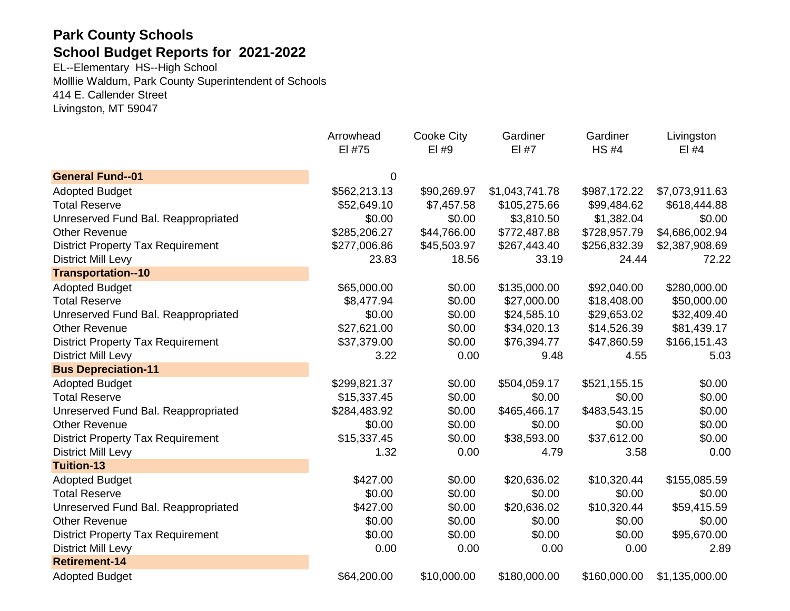## **Park County Schools School Budget Reports for 2021-2022**

EL--Elementary HS--High School Molllie Waldum, Park County Superintendent of Schools 414 E. Callender Street Livingston, MT 59047

|                                          | Arrowhead    | <b>Cooke City</b> | Gardiner       | Gardiner     | Livingston     |
|------------------------------------------|--------------|-------------------|----------------|--------------|----------------|
|                                          | EI #75       | EI #9             | EI #7          | <b>HS#4</b>  | $EI$ #4        |
| <b>General Fund--01</b>                  | 0            |                   |                |              |                |
| <b>Adopted Budget</b>                    | \$562,213.13 | \$90,269.97       | \$1,043,741.78 | \$987,172.22 | \$7,073,911.63 |
| <b>Total Reserve</b>                     | \$52,649.10  | \$7,457.58        | \$105,275.66   | \$99,484.62  | \$618,444.88   |
| Unreserved Fund Bal. Reappropriated      | \$0.00       | \$0.00            | \$3,810.50     | \$1,382.04   | \$0.00         |
| <b>Other Revenue</b>                     | \$285,206.27 | \$44,766.00       | \$772,487.88   | \$728,957.79 | \$4,686,002.94 |
| <b>District Property Tax Requirement</b> | \$277,006.86 | \$45,503.97       | \$267,443.40   | \$256,832.39 | \$2,387,908.69 |
| <b>District Mill Levy</b>                | 23.83        | 18.56             | 33.19          | 24.44        | 72.22          |
| <b>Transportation--10</b>                |              |                   |                |              |                |
| <b>Adopted Budget</b>                    | \$65,000.00  | \$0.00            | \$135,000.00   | \$92,040.00  | \$280,000.00   |
| <b>Total Reserve</b>                     | \$8,477.94   | \$0.00            | \$27,000.00    | \$18,408.00  | \$50,000.00    |
| Unreserved Fund Bal. Reappropriated      | \$0.00       | \$0.00            | \$24,585.10    | \$29,653.02  | \$32,409.40    |
| <b>Other Revenue</b>                     | \$27,621.00  | \$0.00            | \$34,020.13    | \$14,526.39  | \$81,439.17    |
| <b>District Property Tax Requirement</b> | \$37,379.00  | \$0.00            | \$76,394.77    | \$47,860.59  | \$166,151.43   |
| <b>District Mill Levy</b>                | 3.22         | 0.00              | 9.48           | 4.55         | 5.03           |
| <b>Bus Depreciation-11</b>               |              |                   |                |              |                |
| <b>Adopted Budget</b>                    | \$299,821.37 | \$0.00            | \$504,059.17   | \$521,155.15 | \$0.00         |
| <b>Total Reserve</b>                     | \$15,337.45  | \$0.00            | \$0.00         | \$0.00       | \$0.00         |
| Unreserved Fund Bal. Reappropriated      | \$284,483.92 | \$0.00            | \$465,466.17   | \$483,543.15 | \$0.00         |
| <b>Other Revenue</b>                     | \$0.00       | \$0.00            | \$0.00         | \$0.00       | \$0.00         |
| <b>District Property Tax Requirement</b> | \$15,337.45  | \$0.00            | \$38,593.00    | \$37,612.00  | \$0.00         |
| <b>District Mill Levy</b>                | 1.32         | 0.00              | 4.79           | 3.58         | 0.00           |
| <b>Tuition-13</b>                        |              |                   |                |              |                |
| <b>Adopted Budget</b>                    | \$427.00     | \$0.00            | \$20,636.02    | \$10,320.44  | \$155,085.59   |
| <b>Total Reserve</b>                     | \$0.00       | \$0.00            | \$0.00         | \$0.00       | \$0.00         |
| Unreserved Fund Bal. Reappropriated      | \$427.00     | \$0.00            | \$20,636.02    | \$10,320.44  | \$59,415.59    |
| <b>Other Revenue</b>                     | \$0.00       | \$0.00            | \$0.00         | \$0.00       | \$0.00         |
| <b>District Property Tax Requirement</b> | \$0.00       | \$0.00            | \$0.00         | \$0.00       | \$95,670.00    |
| <b>District Mill Levy</b>                | 0.00         | 0.00              | 0.00           | 0.00         | 2.89           |
| <b>Retirement-14</b>                     |              |                   |                |              |                |
| <b>Adopted Budget</b>                    | \$64,200.00  | \$10,000.00       | \$180,000.00   | \$160,000.00 | \$1,135,000.00 |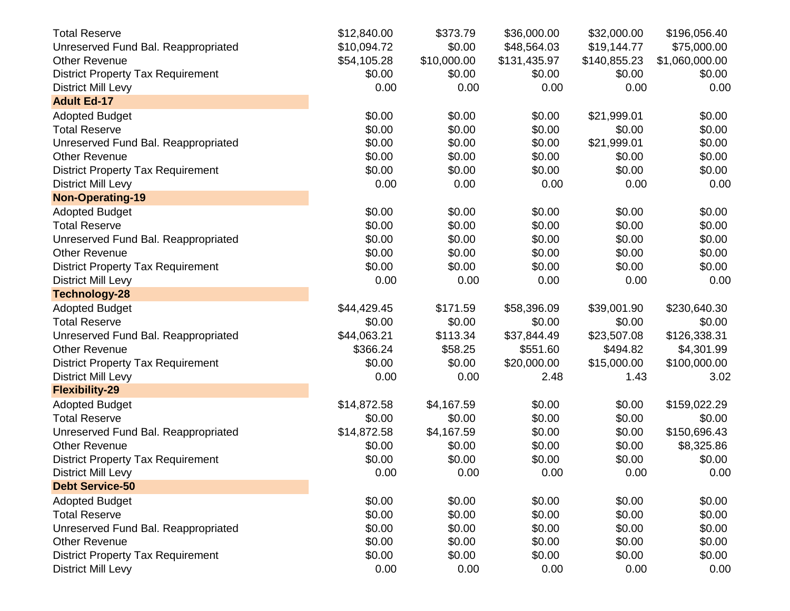| <b>Total Reserve</b>                     | \$12,840.00 | \$373.79    | \$36,000.00  | \$32,000.00  | \$196,056.40   |
|------------------------------------------|-------------|-------------|--------------|--------------|----------------|
| Unreserved Fund Bal. Reappropriated      | \$10,094.72 | \$0.00      | \$48,564.03  | \$19,144.77  | \$75,000.00    |
| <b>Other Revenue</b>                     | \$54,105.28 | \$10,000.00 | \$131,435.97 | \$140,855.23 | \$1,060,000.00 |
| <b>District Property Tax Requirement</b> | \$0.00      | \$0.00      | \$0.00       | \$0.00       | \$0.00         |
| <b>District Mill Levy</b>                | 0.00        | 0.00        | 0.00         | 0.00         | 0.00           |
| <b>Adult Ed-17</b>                       |             |             |              |              |                |
| <b>Adopted Budget</b>                    | \$0.00      | \$0.00      | \$0.00       | \$21,999.01  | \$0.00         |
| <b>Total Reserve</b>                     | \$0.00      | \$0.00      | \$0.00       | \$0.00       | \$0.00         |
| Unreserved Fund Bal. Reappropriated      | \$0.00      | \$0.00      | \$0.00       | \$21,999.01  | \$0.00         |
| <b>Other Revenue</b>                     | \$0.00      | \$0.00      | \$0.00       | \$0.00       | \$0.00         |
| <b>District Property Tax Requirement</b> | \$0.00      | \$0.00      | \$0.00       | \$0.00       | \$0.00         |
| <b>District Mill Levy</b>                | 0.00        | 0.00        | 0.00         | 0.00         | 0.00           |
| <b>Non-Operating-19</b>                  |             |             |              |              |                |
| <b>Adopted Budget</b>                    | \$0.00      | \$0.00      | \$0.00       | \$0.00       | \$0.00         |
| <b>Total Reserve</b>                     | \$0.00      | \$0.00      | \$0.00       | \$0.00       | \$0.00         |
| Unreserved Fund Bal. Reappropriated      | \$0.00      | \$0.00      | \$0.00       | \$0.00       | \$0.00         |
| <b>Other Revenue</b>                     | \$0.00      | \$0.00      | \$0.00       | \$0.00       | \$0.00         |
| <b>District Property Tax Requirement</b> | \$0.00      | \$0.00      | \$0.00       | \$0.00       | \$0.00         |
| <b>District Mill Levy</b>                | 0.00        | 0.00        | 0.00         | 0.00         | 0.00           |
| <b>Technology-28</b>                     |             |             |              |              |                |
| <b>Adopted Budget</b>                    | \$44,429.45 | \$171.59    | \$58,396.09  | \$39,001.90  | \$230,640.30   |
| <b>Total Reserve</b>                     | \$0.00      | \$0.00      | \$0.00       | \$0.00       | \$0.00         |
| Unreserved Fund Bal. Reappropriated      | \$44,063.21 | \$113.34    | \$37,844.49  | \$23,507.08  | \$126,338.31   |
| <b>Other Revenue</b>                     | \$366.24    | \$58.25     | \$551.60     | \$494.82     | \$4,301.99     |
| <b>District Property Tax Requirement</b> | \$0.00      | \$0.00      | \$20,000.00  | \$15,000.00  | \$100,000.00   |
| <b>District Mill Levy</b>                | 0.00        | 0.00        | 2.48         | 1.43         | 3.02           |
| <b>Flexibility-29</b>                    |             |             |              |              |                |
| <b>Adopted Budget</b>                    | \$14,872.58 | \$4,167.59  | \$0.00       | \$0.00       | \$159,022.29   |
| <b>Total Reserve</b>                     | \$0.00      | \$0.00      | \$0.00       | \$0.00       | \$0.00         |
| Unreserved Fund Bal. Reappropriated      | \$14,872.58 | \$4,167.59  | \$0.00       | \$0.00       | \$150,696.43   |
| <b>Other Revenue</b>                     | \$0.00      | \$0.00      | \$0.00       | \$0.00       | \$8,325.86     |
| <b>District Property Tax Requirement</b> | \$0.00      | \$0.00      | \$0.00       | \$0.00       | \$0.00         |
| District Mill Levy                       | 0.00        | 0.00        | 0.00         | 0.00         | 0.00           |
| <b>Debt Service-50</b>                   |             |             |              |              |                |
| <b>Adopted Budget</b>                    | \$0.00      | \$0.00      | \$0.00       | \$0.00       | \$0.00         |
| <b>Total Reserve</b>                     | \$0.00      | \$0.00      | \$0.00       | \$0.00       | \$0.00         |
| Unreserved Fund Bal. Reappropriated      | \$0.00      | \$0.00      | \$0.00       | \$0.00       | \$0.00         |
| <b>Other Revenue</b>                     | \$0.00      | \$0.00      | \$0.00       | \$0.00       | \$0.00         |
| <b>District Property Tax Requirement</b> | \$0.00      | \$0.00      | \$0.00       | \$0.00       | \$0.00         |
| <b>District Mill Levy</b>                | 0.00        | 0.00        | 0.00         | 0.00         | 0.00           |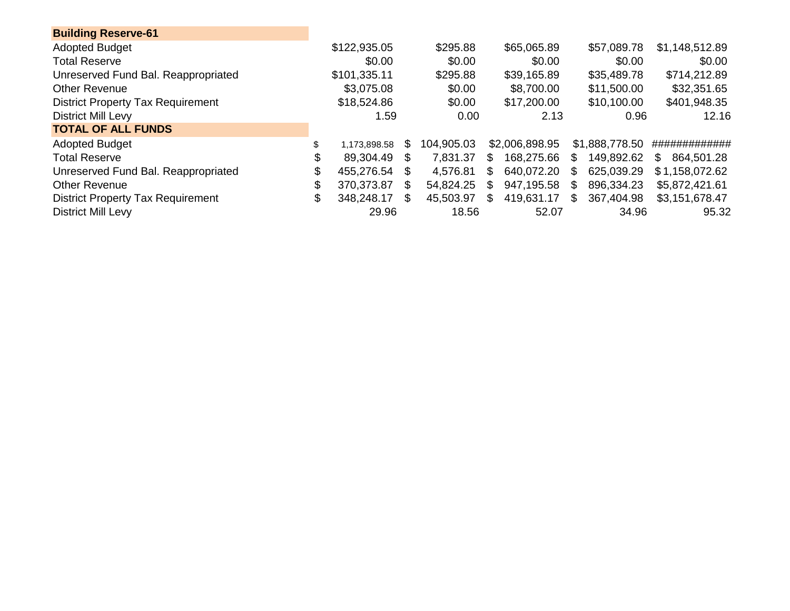|                    |                              | \$295.88   |     | \$65,065.89 |                | \$57,089.78 | \$1,148,512.89                  |
|--------------------|------------------------------|------------|-----|-------------|----------------|-------------|---------------------------------|
| \$0.00             |                              | \$0.00     |     | \$0.00      |                | \$0.00      | \$0.00                          |
|                    |                              | \$295.88   |     | \$39,165.89 |                | \$35,489.78 | \$714,212.89                    |
| \$3,075.08         |                              | \$0.00     |     | \$8,700.00  |                | \$11,500.00 | \$32,351.65                     |
| \$18,524.86        |                              | \$0.00     |     | \$17,200.00 |                | \$10,100.00 | \$401,948.35                    |
| 1.59               |                              | 0.00       |     | 2.13        |                |             | 12.16                           |
|                    |                              |            |     |             |                |             |                                 |
| \$<br>1.173.898.58 | \$                           | 104,905.03 |     |             |                |             | #############                   |
| 89,304.49          | \$.                          | 7,831.37   | S   | 168,275.66  | S              | 149,892.62  | S.<br>864,501.28                |
| 455,276.54         | \$                           | 4,576.81   | S   | 640,072.20  | \$             | 625,039.29  | \$1,158,072.62                  |
| 370,373.87         | \$.                          | 54,824.25  | \$. | 947,195.58  | \$             | 896,334.23  | \$5,872,421.61                  |
| \$<br>348,248.17   | \$                           | 45,503.97  | \$  | 419,631.17  | \$             | 367,404.98  | \$3,151,678.47                  |
| 29.96              |                              | 18.56      |     | 52.07       |                |             | 95.32                           |
|                    | \$122,935.05<br>\$101,335.11 |            |     |             | \$2,006,898.95 |             | 0.96<br>\$1,888,778.50<br>34.96 |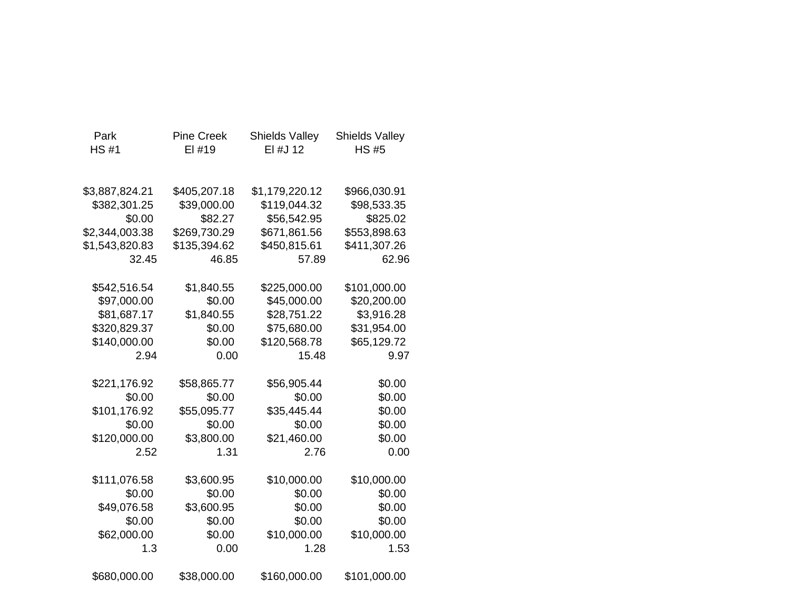| Park           | <b>Pine Creek</b> | <b>Shields Valley</b> | <b>Shields Valley</b> |
|----------------|-------------------|-----------------------|-----------------------|
| <b>HS#1</b>    | EI #19            | EI #J 12              | <b>HS#5</b>           |
|                |                   |                       |                       |
| \$3,887,824.21 | \$405,207.18      | \$1,179,220.12        | \$966,030.91          |
| \$382,301.25   | \$39,000.00       | \$119,044.32          | \$98,533.35           |
| \$0.00         | \$82.27           | \$56,542.95           | \$825.02              |
| \$2,344,003.38 | \$269,730.29      | \$671,861.56          | \$553,898.63          |
| \$1,543,820.83 | \$135,394.62      | \$450,815.61          | \$411,307.26          |
| 32.45          | 46.85             | 57.89                 | 62.96                 |
| \$542,516.54   | \$1,840.55        | \$225,000.00          | \$101,000.00          |
| \$97,000.00    | \$0.00            | \$45,000.00           | \$20,200.00           |
| \$81,687.17    | \$1,840.55        | \$28,751.22           | \$3,916.28            |
| \$320,829.37   | \$0.00            | \$75,680.00           | \$31,954.00           |
| \$140,000.00   | \$0.00            | \$120,568.78          | \$65,129.72           |
| 2.94           | 0.00              | 15.48                 | 9.97                  |
| \$221,176.92   | \$58,865.77       | \$56,905.44           | \$0.00                |
| \$0.00         | \$0.00            | \$0.00                | \$0.00                |
| \$101,176.92   | \$55,095.77       | \$35,445.44           | \$0.00                |
| \$0.00         | \$0.00            | \$0.00                | \$0.00                |
| \$120,000.00   | \$3,800.00        | \$21,460.00           | \$0.00                |
| 2.52           | 1.31              | 2.76                  | 0.00                  |
| \$111,076.58   | \$3,600.95        | \$10,000.00           | \$10,000.00           |
| \$0.00         | \$0.00            | \$0.00                | \$0.00                |
| \$49,076.58    | \$3,600.95        | \$0.00                | \$0.00                |
| \$0.00         | \$0.00            | \$0.00                | \$0.00                |
| \$62,000.00    | \$0.00            | \$10,000.00           | \$10,000.00           |
| 1.3            | 0.00              | 1.28                  | 1.53                  |
| \$680,000.00   | \$38,000.00       | \$160,000.00          | \$101,000.00          |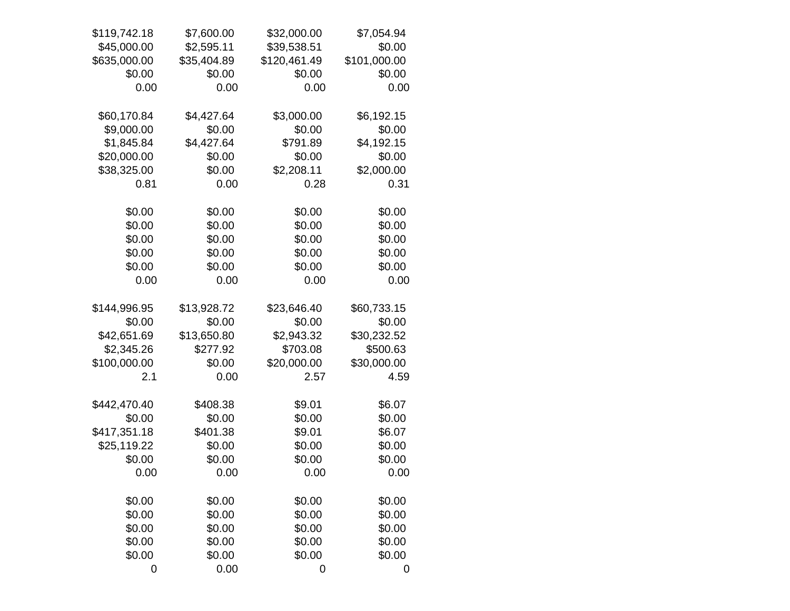| \$119,742.18 | \$7,600.00  | \$32,000.00  | \$7,054.94   |
|--------------|-------------|--------------|--------------|
| \$45,000.00  | \$2,595.11  | \$39,538.51  | \$0.00       |
| \$635,000.00 | \$35,404.89 | \$120,461.49 | \$101,000.00 |
| \$0.00       | \$0.00      | \$0.00       | \$0.00       |
| 0.00         | 0.00        | 0.00         | 0.00         |
|              |             |              |              |
| \$60,170.84  | \$4,427.64  | \$3,000.00   | \$6,192.15   |
| \$9,000.00   | \$0.00      | \$0.00       | \$0.00       |
| \$1,845.84   | \$4,427.64  | \$791.89     | \$4,192.15   |
| \$20,000.00  | \$0.00      | \$0.00       | \$0.00       |
| \$38,325.00  | \$0.00      | \$2,208.11   | \$2,000.00   |
| 0.81         | 0.00        | 0.28         | 0.31         |
| \$0.00       | \$0.00      | \$0.00       | \$0.00       |
| \$0.00       | \$0.00      | \$0.00       | \$0.00       |
| \$0.00       | \$0.00      | \$0.00       | \$0.00       |
| \$0.00       | \$0.00      | \$0.00       | \$0.00       |
| \$0.00       | \$0.00      | \$0.00       | \$0.00       |
| 0.00         | 0.00        | 0.00         | 0.00         |
| \$144,996.95 | \$13,928.72 | \$23,646.40  | \$60,733.15  |
| \$0.00       | \$0.00      | \$0.00       | \$0.00       |
| \$42,651.69  | \$13,650.80 | \$2,943.32   | \$30,232.52  |
| \$2,345.26   | \$277.92    | \$703.08     | \$500.63     |
| \$100,000.00 | \$0.00      | \$20,000.00  | \$30,000.00  |
| 2.1          | 0.00        | 2.57         | 4.59         |
| \$442,470.40 | \$408.38    | \$9.01       | \$6.07       |
| \$0.00       | \$0.00      | \$0.00       | \$0.00       |
| \$417,351.18 | \$401.38    | \$9.01       | \$6.07       |
| \$25,119.22  | \$0.00      | \$0.00       | \$0.00       |
| \$0.00       | \$0.00      | \$0.00       | \$0.00       |
| 0.00         | 0.00        | 0.00         | 0.00         |
| \$0.00       | \$0.00      | \$0.00       | \$0.00       |
| \$0.00       | \$0.00      | \$0.00       | \$0.00       |
| \$0.00       | \$0.00      | \$0.00       | \$0.00       |
| \$0.00       | \$0.00      | \$0.00       | \$0.00       |
| \$0.00       | \$0.00      | \$0.00       | \$0.00       |
| 0            | 0.00        | 0            | 0            |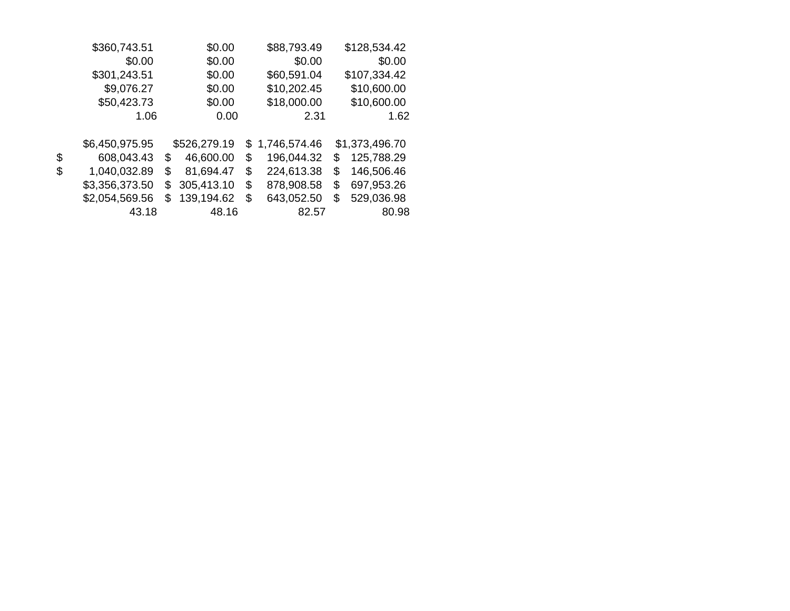|                    |    |              |    | \$88,793.49    |    |                |  |
|--------------------|----|--------------|----|----------------|----|----------------|--|
| \$360,743.51       |    | \$0.00       |    |                |    | \$128,534.42   |  |
| \$0.00             |    | \$0.00       |    | \$0.00         |    | \$0.00         |  |
| \$301,243.51       |    | \$0.00       |    | \$60,591.04    |    | \$107,334.42   |  |
| \$9,076.27         |    | \$0.00       |    | \$10,202.45    |    | \$10,600.00    |  |
| \$50,423.73        |    | \$0.00       |    | \$18,000.00    |    |                |  |
| 1.06               |    | 0.00         |    | 2.31           |    | 1.62           |  |
|                    |    |              |    |                |    |                |  |
| \$6,450,975.95     |    | \$526,279.19 |    | \$1,746,574.46 |    | \$1,373,496.70 |  |
| \$<br>608,043.43   | \$ | 46,600.00    | \$ | 196,044.32     | \$ | 125,788.29     |  |
| \$<br>1,040,032.89 | \$ | 81,694.47    | \$ | 224,613.38     | \$ | 146,506.46     |  |
| \$3,356,373.50     | \$ | 305,413.10   | \$ | 878,908.58     | \$ | 697,953.26     |  |
| \$2,054,569.56     | S  | 139,194.62   | \$ | 643,052.50     | \$ | 529,036.98     |  |
| 43.18              |    | 48.16        |    | 82.57          |    | 80.98          |  |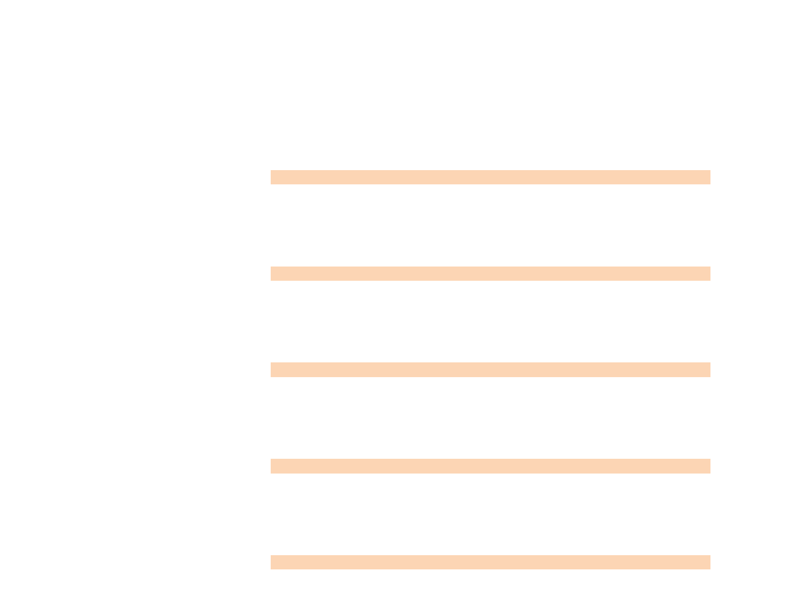## a sa kabilang sa kabilang sa mga bayang sa mga bayang sa mga bayang sa mga bayang sa mga bayang sa mga bayang<br>Mga bayang sa mga bayang sa mga bayang sa mga bayang sa mga bayang sa mga bayang sa mga bayang sa mga bayang s a sa kabilang sa kalawang sa kalawang sa kalawang sa kalawang sa kalawang sa kalawang sa kalawang sa kalawang <br>Mga kalawang sa kalawang sa kalawang sa kalawang sa kalawang sa kalawang sa kalawang sa kalawang sa kalawang s

a sa kacamatan ing Kabupatèn Kabupatèn Kabupatèn Kabupatèn Kabupatèn Kabupatèn Kabupatèn Kabupatèn Kabupatèn K

and the control of the control of the control of the control of the control of the control of the control of the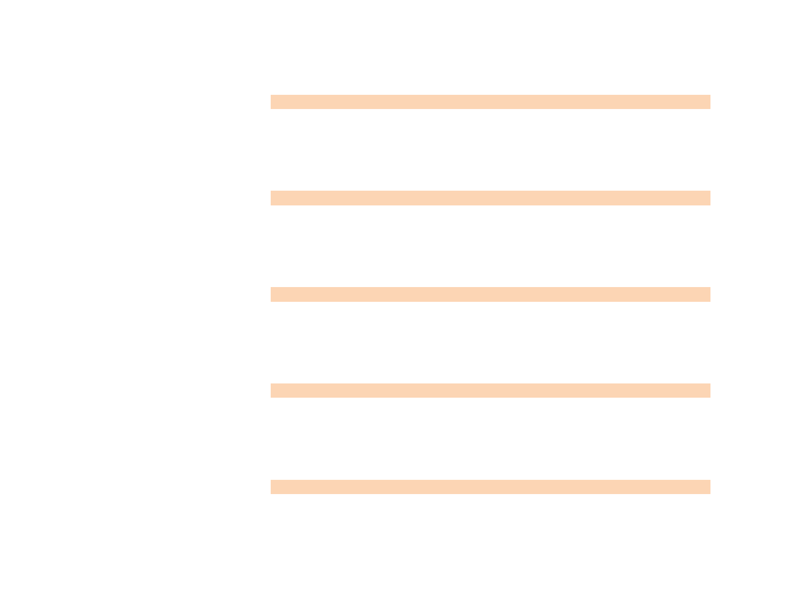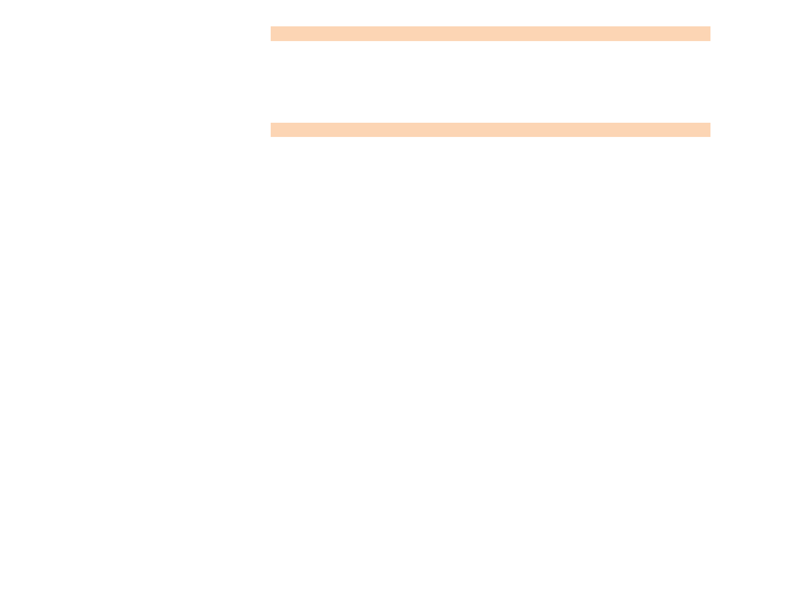## a sa mga bangay na mga bangay na mga bangay ng mga bangay ng mga bangay ng mga bangay ng mga bangay ng mga ban

a sa kabilang pangalang sa pangalang na pangalang na pangalang na pangalang na pangalang na pangalang na panga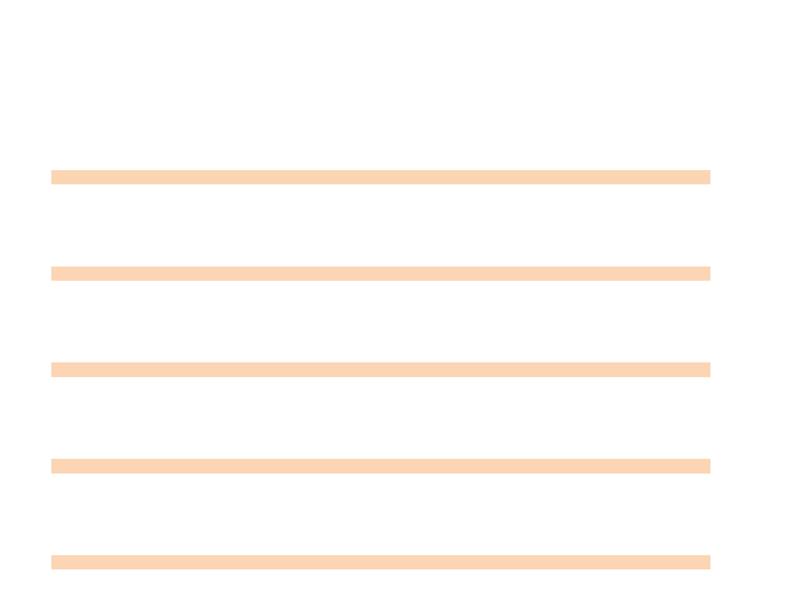a sa karang sa kalawang kalawang sa karang sa karang sa karang sa karang sa karang sa karang sa karang sa kara<br>Karang sa karang sa karang sa karang sa karang sa karang sa karang sa karang sa karang sa karang sa karang sa **Contract Contract Contract Contract**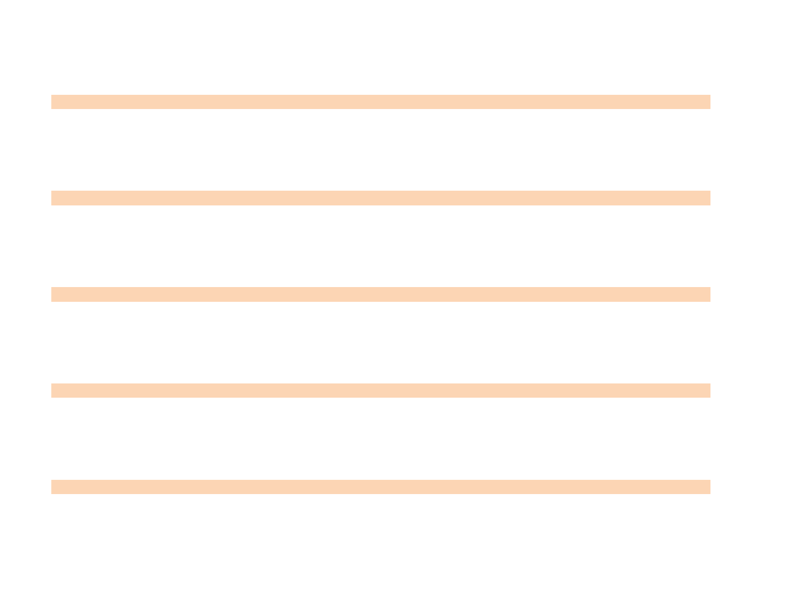,一个人的人,一个人的人,一个人的人,一个人的人,一个人的人,一个人的人,一个人的人,一个人的人,一个人的人,一个人的人,一个人的人,一个人的人,一个人的人,一个<br>第128章 第128章 第128章 第128章 第128章 第128章 第128章 第128章 第128章 第128章 第128章 第128章 第128章 第12